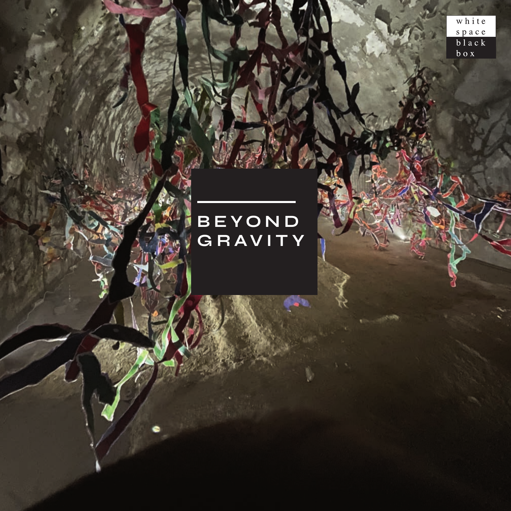white space<br>black<br>box

## BEYOND<br>GRAVITY

**CONTRACTOR**